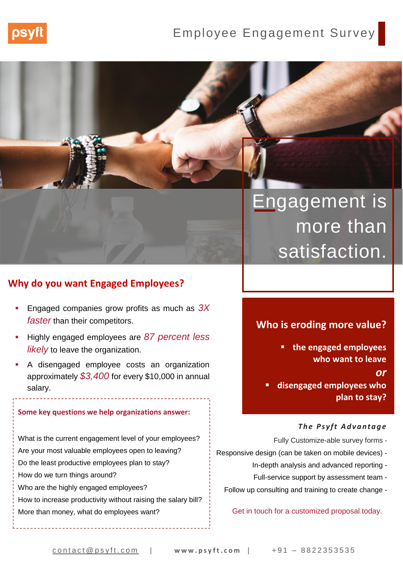

## Employee Engagement Survey

# Engagement is more than satisfaction.

### **Why do you want Engaged Employees?**

- Engaged companies grow profits as much as 3X *faster* than their competitors.
- Highly engaged employees are *87 percent less likely* to leave the organization.
- A disengaged employee costs an organization approximately *\$3,400* for every \$10,000 in annual salary.

### **Some key questions we help organizations answer:**

What is the current engagement level of your employees? Are your most valuable employees open to leaving? Do the least productive employees plan to stay? How do we turn things around? Who are the highly engaged employees? How to increase productivity without raising the salary bill?

### **Who is eroding more value?**

▪ **the engaged employees who want to leave** 

*or*

▪ **disengaged employees who plan to stay?**

### *The Psyft Advantage*

- Fully Customize-able survey forms -
- Responsive design (can be taken on mobile devices)
	- In-depth analysis and advanced reporting -
	- Full-service support by assessment team -
	- Follow up consulting and training to create change -

### More than money, what do employees want? Get in touch for a customized proposal today.